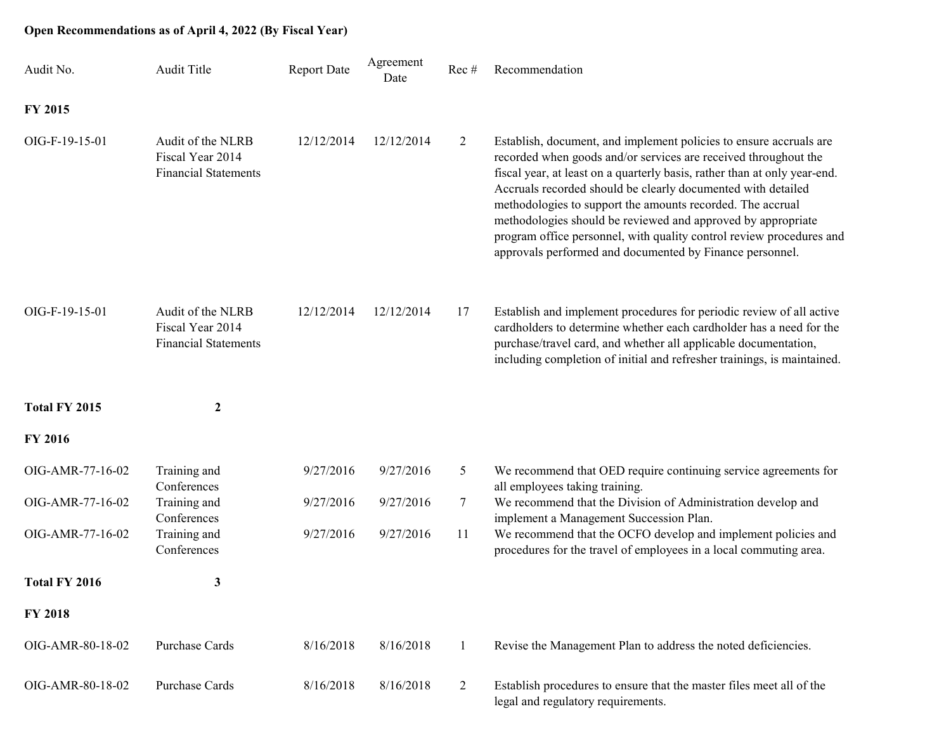## **Open Recommendations as of April 4, 2022 (By Fiscal Year)**

| Audit No.            | <b>Audit Title</b>                                                   | <b>Report Date</b> | Agreement<br>Date | Rec #          | Recommendation                                                                                                                                                                                                                                                                                                                                                                                                                                                                                                                                       |
|----------------------|----------------------------------------------------------------------|--------------------|-------------------|----------------|------------------------------------------------------------------------------------------------------------------------------------------------------------------------------------------------------------------------------------------------------------------------------------------------------------------------------------------------------------------------------------------------------------------------------------------------------------------------------------------------------------------------------------------------------|
| FY 2015              |                                                                      |                    |                   |                |                                                                                                                                                                                                                                                                                                                                                                                                                                                                                                                                                      |
| OIG-F-19-15-01       | Audit of the NLRB<br>Fiscal Year 2014<br><b>Financial Statements</b> | 12/12/2014         | 12/12/2014        | 2              | Establish, document, and implement policies to ensure accruals are<br>recorded when goods and/or services are received throughout the<br>fiscal year, at least on a quarterly basis, rather than at only year-end.<br>Accruals recorded should be clearly documented with detailed<br>methodologies to support the amounts recorded. The accrual<br>methodologies should be reviewed and approved by appropriate<br>program office personnel, with quality control review procedures and<br>approvals performed and documented by Finance personnel. |
| OIG-F-19-15-01       | Audit of the NLRB<br>Fiscal Year 2014<br><b>Financial Statements</b> | 12/12/2014         | 12/12/2014        | 17             | Establish and implement procedures for periodic review of all active<br>cardholders to determine whether each cardholder has a need for the<br>purchase/travel card, and whether all applicable documentation,<br>including completion of initial and refresher trainings, is maintained.                                                                                                                                                                                                                                                            |
| <b>Total FY 2015</b> | 2                                                                    |                    |                   |                |                                                                                                                                                                                                                                                                                                                                                                                                                                                                                                                                                      |
| <b>FY 2016</b>       |                                                                      |                    |                   |                |                                                                                                                                                                                                                                                                                                                                                                                                                                                                                                                                                      |
| OIG-AMR-77-16-02     | Training and<br>Conferences                                          | 9/27/2016          | 9/27/2016         | 5              | We recommend that OED require continuing service agreements for<br>all employees taking training.                                                                                                                                                                                                                                                                                                                                                                                                                                                    |
| OIG-AMR-77-16-02     | Training and<br>Conferences                                          | 9/27/2016          | 9/27/2016         | 7              | We recommend that the Division of Administration develop and<br>implement a Management Succession Plan.                                                                                                                                                                                                                                                                                                                                                                                                                                              |
| OIG-AMR-77-16-02     | Training and<br>Conferences                                          | 9/27/2016          | 9/27/2016         | 11             | We recommend that the OCFO develop and implement policies and<br>procedures for the travel of employees in a local commuting area.                                                                                                                                                                                                                                                                                                                                                                                                                   |
| Total FY 2016        | 3                                                                    |                    |                   |                |                                                                                                                                                                                                                                                                                                                                                                                                                                                                                                                                                      |
| <b>FY 2018</b>       |                                                                      |                    |                   |                |                                                                                                                                                                                                                                                                                                                                                                                                                                                                                                                                                      |
| OIG-AMR-80-18-02     | <b>Purchase Cards</b>                                                | 8/16/2018          | 8/16/2018         | -1             | Revise the Management Plan to address the noted deficiencies.                                                                                                                                                                                                                                                                                                                                                                                                                                                                                        |
| OIG-AMR-80-18-02     | Purchase Cards                                                       | 8/16/2018          | 8/16/2018         | $\overline{2}$ | Establish procedures to ensure that the master files meet all of the<br>legal and regulatory requirements.                                                                                                                                                                                                                                                                                                                                                                                                                                           |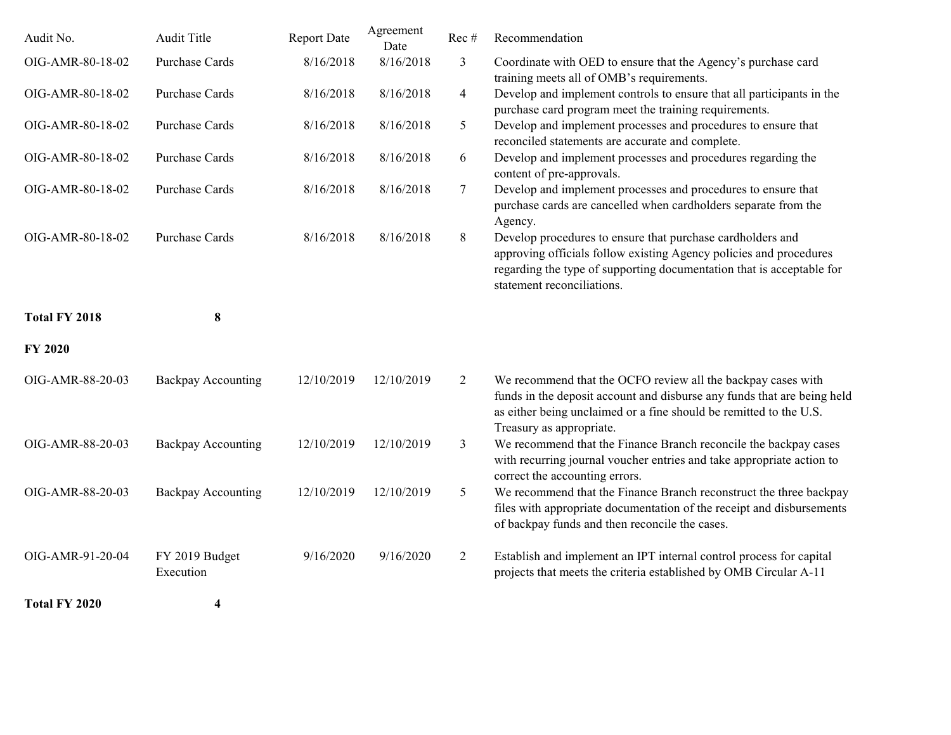| Audit No.            | Audit Title                 | <b>Report Date</b> | Agreement<br>Date | Rec #          | Recommendation                                                                                                                                                                                                                            |
|----------------------|-----------------------------|--------------------|-------------------|----------------|-------------------------------------------------------------------------------------------------------------------------------------------------------------------------------------------------------------------------------------------|
| OIG-AMR-80-18-02     | Purchase Cards              | 8/16/2018          | 8/16/2018         | 3              | Coordinate with OED to ensure that the Agency's purchase card<br>training meets all of OMB's requirements.                                                                                                                                |
| OIG-AMR-80-18-02     | Purchase Cards              | 8/16/2018          | 8/16/2018         | $\overline{4}$ | Develop and implement controls to ensure that all participants in the<br>purchase card program meet the training requirements.                                                                                                            |
| OIG-AMR-80-18-02     | Purchase Cards              | 8/16/2018          | 8/16/2018         | 5              | Develop and implement processes and procedures to ensure that<br>reconciled statements are accurate and complete.                                                                                                                         |
| OIG-AMR-80-18-02     | Purchase Cards              | 8/16/2018          | 8/16/2018         | 6              | Develop and implement processes and procedures regarding the<br>content of pre-approvals.                                                                                                                                                 |
| OIG-AMR-80-18-02     | Purchase Cards              | 8/16/2018          | 8/16/2018         | $\tau$         | Develop and implement processes and procedures to ensure that<br>purchase cards are cancelled when cardholders separate from the<br>Agency.                                                                                               |
| OIG-AMR-80-18-02     | <b>Purchase Cards</b>       | 8/16/2018          | 8/16/2018         | 8              | Develop procedures to ensure that purchase cardholders and<br>approving officials follow existing Agency policies and procedures<br>regarding the type of supporting documentation that is acceptable for<br>statement reconciliations.   |
| <b>Total FY 2018</b> | 8                           |                    |                   |                |                                                                                                                                                                                                                                           |
| <b>FY 2020</b>       |                             |                    |                   |                |                                                                                                                                                                                                                                           |
| OIG-AMR-88-20-03     | <b>Backpay Accounting</b>   | 12/10/2019         | 12/10/2019        | 2              | We recommend that the OCFO review all the backpay cases with<br>funds in the deposit account and disburse any funds that are being held<br>as either being unclaimed or a fine should be remitted to the U.S.<br>Treasury as appropriate. |
| OIG-AMR-88-20-03     | <b>Backpay Accounting</b>   | 12/10/2019         | 12/10/2019        | 3              | We recommend that the Finance Branch reconcile the backpay cases<br>with recurring journal voucher entries and take appropriate action to<br>correct the accounting errors.                                                               |
| OIG-AMR-88-20-03     | <b>Backpay Accounting</b>   | 12/10/2019         | 12/10/2019        | 5              | We recommend that the Finance Branch reconstruct the three backpay<br>files with appropriate documentation of the receipt and disbursements<br>of backpay funds and then reconcile the cases.                                             |
| OIG-AMR-91-20-04     | FY 2019 Budget<br>Execution | 9/16/2020          | 9/16/2020         | $\overline{c}$ | Establish and implement an IPT internal control process for capital<br>projects that meets the criteria established by OMB Circular A-11                                                                                                  |
| Total FY 2020        | 4                           |                    |                   |                |                                                                                                                                                                                                                                           |